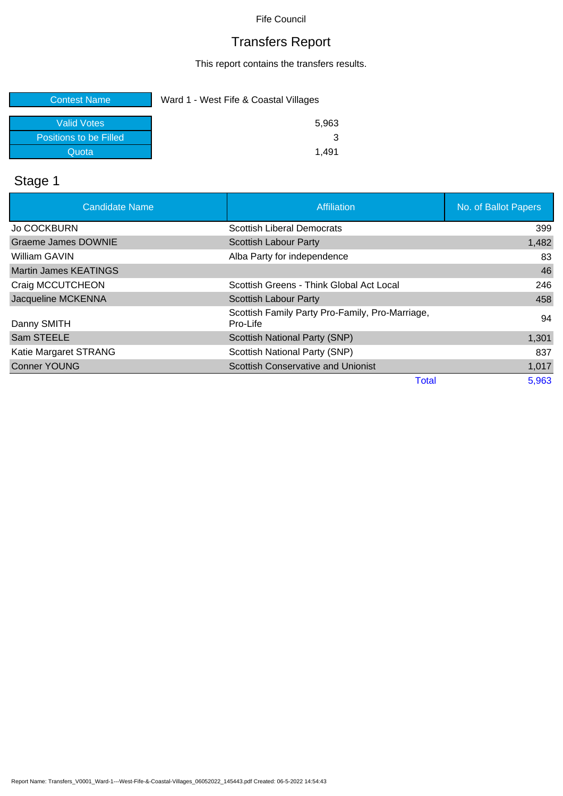# Transfers Report

This report contains the transfers results.

| <b>Contest Name</b>    | Ward 1 - West Fife & Coastal Villages |  |
|------------------------|---------------------------------------|--|
| Valid Votes            | 5.963                                 |  |
| Positions to be Filled |                                       |  |
| Quota                  | 149                                   |  |

# Stage 1

| <b>Candidate Name</b>        | Affiliation                                                 | No. of Ballot Papers |
|------------------------------|-------------------------------------------------------------|----------------------|
| <b>Jo COCKBURN</b>           | <b>Scottish Liberal Democrats</b>                           | 399                  |
| <b>Graeme James DOWNIE</b>   | <b>Scottish Labour Party</b>                                | 1,482                |
| William GAVIN                | Alba Party for independence                                 | 83                   |
| <b>Martin James KEATINGS</b> |                                                             | 46                   |
| Craig MCCUTCHEON             | Scottish Greens - Think Global Act Local                    | 246                  |
| Jacqueline MCKENNA           | <b>Scottish Labour Party</b>                                | 458                  |
| Danny SMITH                  | Scottish Family Party Pro-Family, Pro-Marriage,<br>Pro-Life | 94                   |
| Sam STEELE                   | <b>Scottish National Party (SNP)</b>                        | 1,301                |
| Katie Margaret STRANG        | Scottish National Party (SNP)                               | 837                  |
| <b>Conner YOUNG</b>          | <b>Scottish Conservative and Unionist</b>                   | 1,017                |
|                              | <b>Total</b>                                                | 5,963                |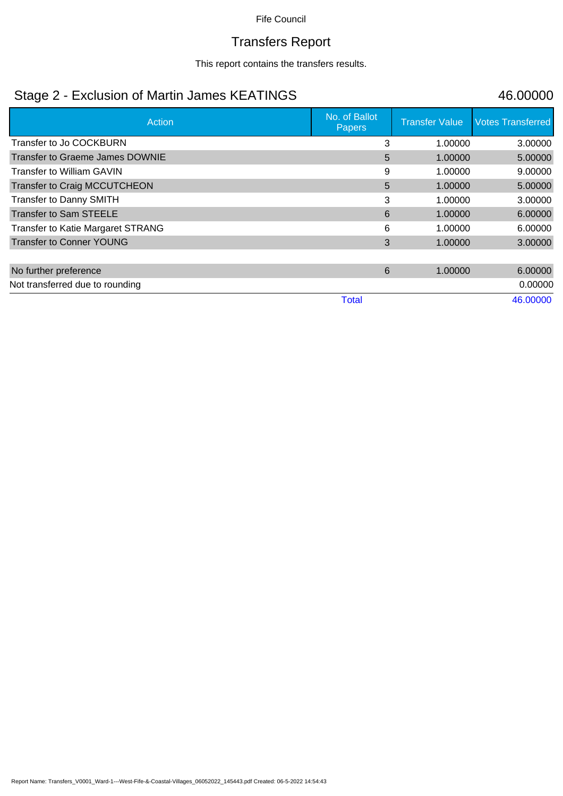## Transfers Report

This report contains the transfers results.

## Stage 2 - Exclusion of Martin James KEATINGS 46.00000

| Action                                   | No. of Ballot<br>Papers | <b>Transfer Value</b> | <b>Votes Transferred</b> |
|------------------------------------------|-------------------------|-----------------------|--------------------------|
| Transfer to Jo COCKBURN                  | 3                       | 1.00000               | 3.00000                  |
| <b>Transfer to Graeme James DOWNIE</b>   | 5                       | 1.00000               | 5.00000                  |
| <b>Transfer to William GAVIN</b>         | 9                       | 1.00000               | 9.00000                  |
| <b>Transfer to Craig MCCUTCHEON</b>      | 5                       | 1.00000               | 5.00000                  |
| <b>Transfer to Danny SMITH</b>           | 3                       | 1.00000               | 3.00000                  |
| <b>Transfer to Sam STEELE</b>            | 6                       | 1.00000               | 6.00000                  |
| <b>Transfer to Katie Margaret STRANG</b> | 6                       | 1.00000               | 6.00000                  |
| <b>Transfer to Conner YOUNG</b>          | 3                       | 1.00000               | 3.00000                  |
|                                          |                         |                       |                          |
| No further preference                    | 6                       | 1.00000               | 6.00000                  |
| Not transferred due to rounding          |                         |                       | 0.00000                  |
|                                          | <b>Total</b>            |                       | 46.00000                 |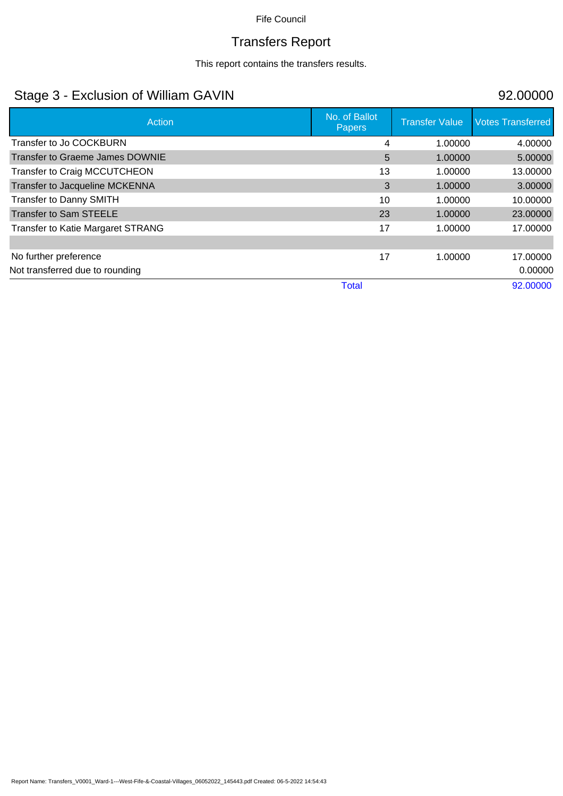# Transfers Report

This report contains the transfers results.

## Stage 3 - Exclusion of William GAVIN 92.00000

| Action                                   | No. of Ballot<br><b>Papers</b> | <b>Transfer Value</b> | <b>Votes Transferred</b> |
|------------------------------------------|--------------------------------|-----------------------|--------------------------|
| Transfer to Jo COCKBURN                  | 4                              | 1.00000               | 4.00000                  |
| Transfer to Graeme James DOWNIE          | 5                              | 1.00000               | 5.00000                  |
| <b>Transfer to Craig MCCUTCHEON</b>      | 13                             | 1.00000               | 13.00000                 |
| Transfer to Jacqueline MCKENNA           | 3                              | 1.00000               | 3.00000                  |
| <b>Transfer to Danny SMITH</b>           | 10                             | 1.00000               | 10.00000                 |
| <b>Transfer to Sam STEELE</b>            | 23                             | 1.00000               | 23.00000                 |
| <b>Transfer to Katie Margaret STRANG</b> | 17                             | 1.00000               | 17.00000                 |
|                                          |                                |                       |                          |
| No further preference                    | 17                             | 1.00000               | 17.00000                 |
| Not transferred due to rounding          |                                |                       | 0.00000                  |
|                                          | <b>Total</b>                   |                       | 92.00000                 |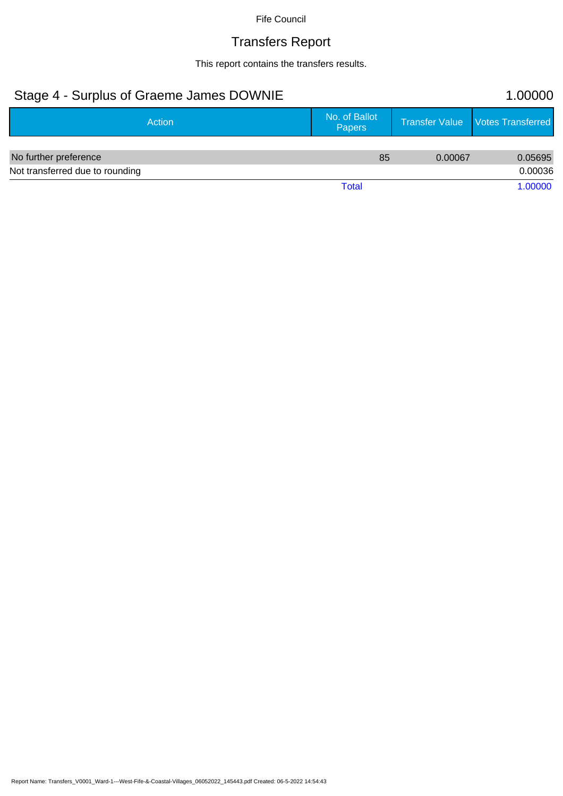# Transfers Report

This report contains the transfers results.

| Stage 4 - Surplus of Graeme James DOWNIE |                                |         | 1.00000                            |
|------------------------------------------|--------------------------------|---------|------------------------------------|
| Action                                   | No. of Ballot<br><b>Papers</b> |         | Transfer Value   Votes Transferred |
|                                          |                                |         |                                    |
| No further preference                    | 85                             | 0.00067 | 0.05695                            |
| Not transferred due to rounding          |                                |         | 0.00036                            |
|                                          | Total                          |         | 1.00000                            |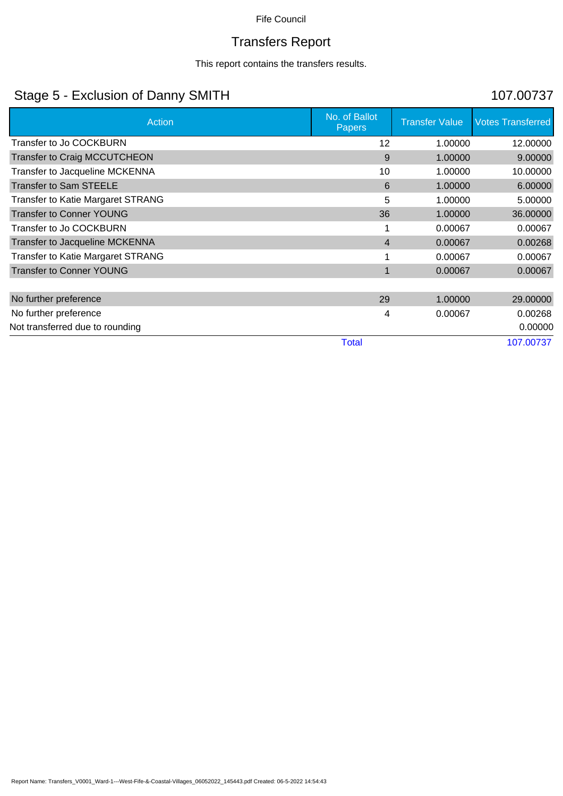# Transfers Report

This report contains the transfers results.

## Stage 5 - Exclusion of Danny SMITH 107.00737

| Action                                   | No. of Ballot<br><b>Papers</b> | <b>Transfer Value</b> | <b>Votes Transferred</b> |
|------------------------------------------|--------------------------------|-----------------------|--------------------------|
| Transfer to Jo COCKBURN                  | 12                             | 1.00000               | 12.00000                 |
| <b>Transfer to Craig MCCUTCHEON</b>      | 9                              | 1.00000               | 9.00000                  |
| Transfer to Jacqueline MCKENNA           | 10                             | 1.00000               | 10.00000                 |
| <b>Transfer to Sam STEELE</b>            | 6                              | 1.00000               | 6.00000                  |
| Transfer to Katie Margaret STRANG        | 5                              | 1.00000               | 5.00000                  |
| <b>Transfer to Conner YOUNG</b>          | 36                             | 1.00000               | 36.00000                 |
| Transfer to Jo COCKBURN                  |                                | 0.00067               | 0.00067                  |
| Transfer to Jacqueline MCKENNA           | $\overline{4}$                 | 0.00067               | 0.00268                  |
| <b>Transfer to Katie Margaret STRANG</b> |                                | 0.00067               | 0.00067                  |
| <b>Transfer to Conner YOUNG</b>          | 1                              | 0.00067               | 0.00067                  |
|                                          |                                |                       |                          |
| No further preference                    | 29                             | 1.00000               | 29.00000                 |
| No further preference                    | 4                              | 0.00067               | 0.00268                  |
| Not transferred due to rounding          |                                |                       | 0.00000                  |
|                                          | <b>Total</b>                   |                       | 107.00737                |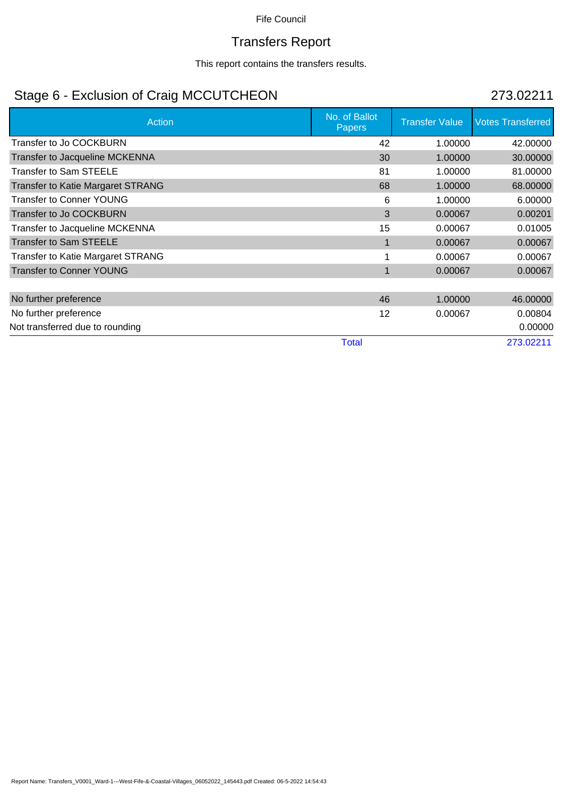# Transfers Report

This report contains the transfers results.

## Stage 6 - Exclusion of Craig MCCUTCHEON 273.02211

| <b>Action</b>                            | No. of Ballot<br><b>Papers</b> | <b>Transfer Value</b> | <b>Votes Transferred</b> |
|------------------------------------------|--------------------------------|-----------------------|--------------------------|
| Transfer to Jo COCKBURN                  | 42                             | 1.00000               | 42.00000                 |
| Transfer to Jacqueline MCKENNA           | 30                             | 1.00000               | 30.00000                 |
| <b>Transfer to Sam STEELE</b>            | 81                             | 1.00000               | 81.00000                 |
| <b>Transfer to Katie Margaret STRANG</b> | 68                             | 1.00000               | 68.00000                 |
| <b>Transfer to Conner YOUNG</b>          | 6                              | 1.00000               | 6.00000                  |
| <b>Transfer to Jo COCKBURN</b>           | 3                              | 0.00067               | 0.00201                  |
| Transfer to Jacqueline MCKENNA           | 15                             | 0.00067               | 0.01005                  |
| <b>Transfer to Sam STEELE</b>            |                                | 0.00067               | 0.00067                  |
| <b>Transfer to Katie Margaret STRANG</b> |                                | 0.00067               | 0.00067                  |
| <b>Transfer to Conner YOUNG</b>          |                                | 0.00067               | 0.00067                  |
|                                          |                                |                       |                          |
| No further preference                    | 46                             | 1.00000               | 46.00000                 |
| No further preference                    | 12                             | 0.00067               | 0.00804                  |
| Not transferred due to rounding          |                                |                       | 0.00000                  |
|                                          | <b>Total</b>                   |                       | 273.02211                |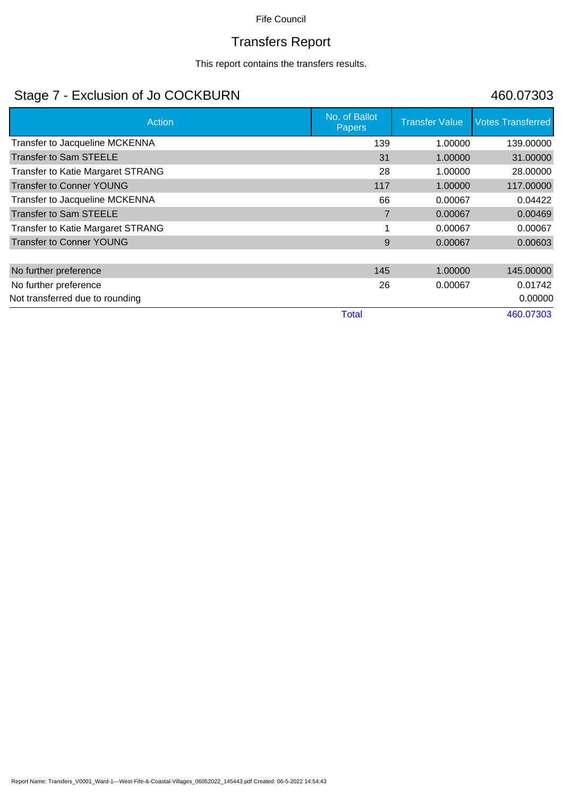# Transfers Report

This report contains the transfers results.

## Stage 7 - Exclusion of Jo COCKBURN 460.07303

| <b>Action</b>                            | No. of Ballot<br><b>Papers</b> | <b>Transfer Value</b> | <b>Votes Transferred</b> |
|------------------------------------------|--------------------------------|-----------------------|--------------------------|
| Transfer to Jacqueline MCKENNA           | 139                            | 1.00000               | 139,00000                |
| <b>Transfer to Sam STEELE</b>            | 31                             | 1.00000               | 31.00000                 |
| <b>Transfer to Katie Margaret STRANG</b> | 28                             | 1.00000               | 28.00000                 |
| <b>Transfer to Conner YOUNG</b>          | 117                            | 1.00000               | 117.00000                |
| Transfer to Jacqueline MCKENNA           | 66                             | 0.00067               | 0.04422                  |
| <b>Transfer to Sam STEELE</b>            | 7                              | 0.00067               | 0.00469                  |
| <b>Transfer to Katie Margaret STRANG</b> |                                | 0.00067               | 0.00067                  |
| <b>Transfer to Conner YOUNG</b>          | 9                              | 0.00067               | 0.00603                  |
|                                          |                                |                       |                          |
| No further preference                    | 145                            | 1.00000               | 145.00000                |
| No further preference                    | 26                             | 0.00067               | 0.01742                  |
| Not transferred due to rounding          |                                |                       | 0.00000                  |
|                                          | <b>Total</b>                   |                       | 460.07303                |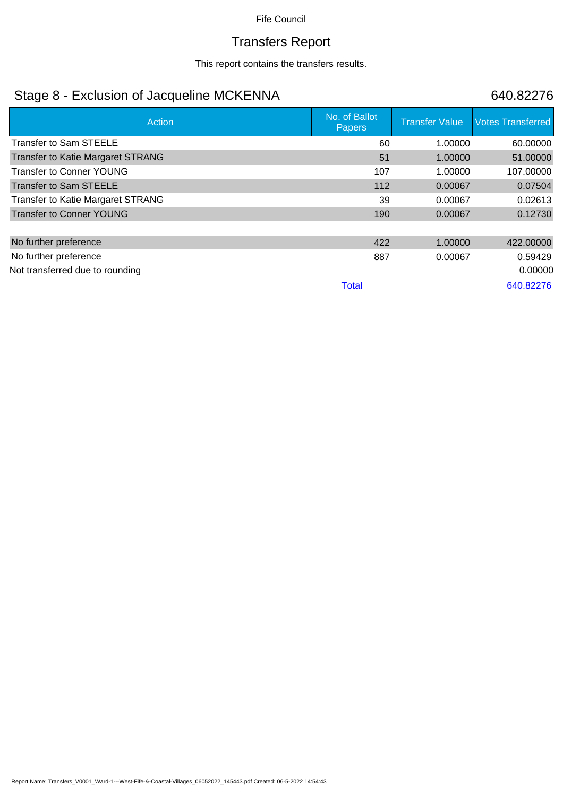## Transfers Report

This report contains the transfers results.

## Stage 8 - Exclusion of Jacqueline MCKENNA 640.82276

| Action                                   | No. of Ballot<br>Papers | <b>Transfer Value</b> | <b>Votes Transferred</b> |
|------------------------------------------|-------------------------|-----------------------|--------------------------|
| <b>Transfer to Sam STEELE</b>            | 60                      | 1.00000               | 60.00000                 |
| <b>Transfer to Katie Margaret STRANG</b> | 51                      | 1.00000               | 51.00000                 |
| <b>Transfer to Conner YOUNG</b>          | 107                     | 1.00000               | 107.00000                |
| Transfer to Sam STEELE                   | 112                     | 0.00067               | 0.07504                  |
| <b>Transfer to Katie Margaret STRANG</b> | 39                      | 0.00067               | 0.02613                  |
| <b>Transfer to Conner YOUNG</b>          | 190                     | 0.00067               | 0.12730                  |
|                                          |                         |                       |                          |
| No further preference                    | 422                     | 1.00000               | 422.00000                |
| No further preference                    | 887                     | 0.00067               | 0.59429                  |
| Not transferred due to rounding          |                         |                       | 0.00000                  |
|                                          | <b>Total</b>            |                       | 640.82276                |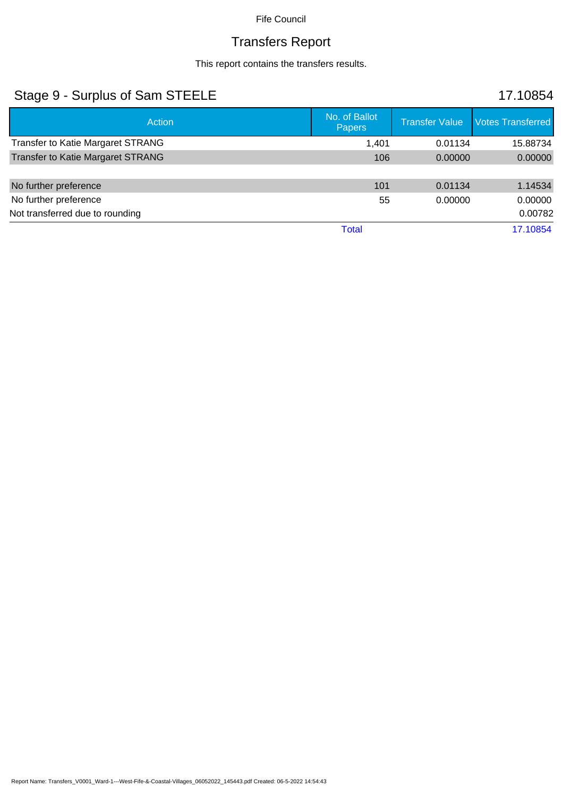### Transfers Report

This report contains the transfers results.

### Stage 9 - Surplus of Sam STEELE 17.10854 Action No. of Ballot No. of Ballot No. of Ballot No. of Ballot No. of Ballot No. of Ballot No. of Ballot No. of Ballot No. of Ballot No. of Ballot No. of Ballot No. of Ballot No. of Ballot No. of Ballot No. of Ballot No. o Transfer Value Votes Transferred Transfer to Katie Margaret STRANG 1,401 0.01134 15.88734 Transfer to Katie Margaret STRANG 106 106 0.00000 0.00000 0.00000 0.00000 No further preference **101** 1.14534 No further preference 0.00000 0.00000 0.00000 0.00000 0.00000 0.00000 0.00000 0.00000 0.00000 0.00000 0.00000 0 Not transferred due to rounding 0.00782 Total 17.10854

Report Name: Transfers\_V0001\_Ward-1---West-Fife-&-Coastal-Villages\_06052022\_145443.pdf Created: 06-5-2022 14:54:43